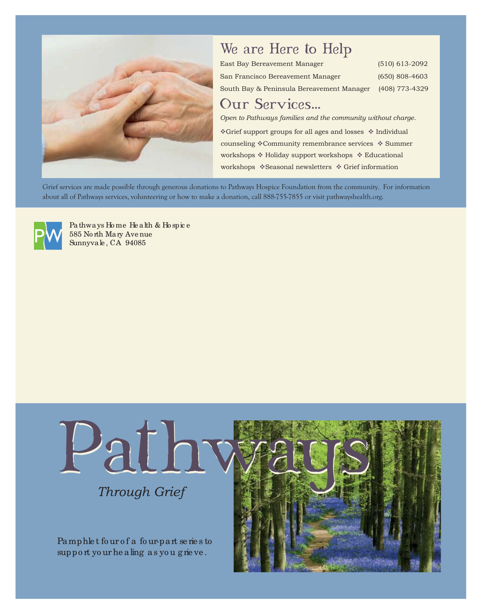

## We are Here to Help

| East Bay Bereavement Manager              | $(510)$ 613-2092 |
|-------------------------------------------|------------------|
| San Francisco Bereavement Manager         | $(650)$ 808-4603 |
| South Bay & Peninsula Bereavement Manager | (408) 773-4329   |

### Our Services...

*Open to Pathways families and the community without charge.*

\*Grief support groups for all ages and losses \* Individual counseling \*Community remembrance services \* Summer workshops  $*$  Holiday support workshops  $*$  Educational workshops  $\triangleleft$ Seasonal newsletters  $\triangleleft$  Grief information

Grief services are made possible through generous donations to Pathways Hospice Foundation from the community. For information about all of Pathways services, volunteering or how to make a donation, call 888-755-7855 or visit pathwayshealth.org.



Pathways Ho me He alth & Ho spic e 585 No rth Mary Ave nue Sunnyvale , CA 94085



## *Through Grief*

Pamphlet four of a four-part series to support your he aling as you grieve.